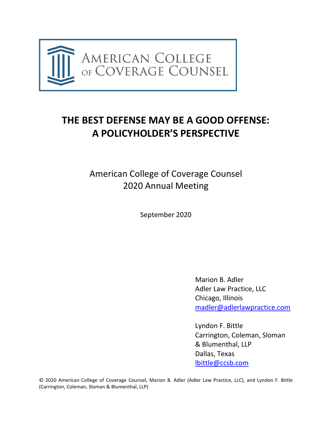

# **THE BEST DEFENSE MAY BE A GOOD OFFENSE: A POLICYHOLDER'S PERSPECTIVE**

American College of Coverage Counsel 2020 Annual Meeting

September 2020

Marion B. Adler Adler Law Practice, LLC Chicago, Illinois [madler@adlerlawpractice.com](mailto:madler@adlerlawpractice.com)

Lyndon F. Bittle Carrington, Coleman, Sloman & Blumenthal, LLP Dallas, Texas [lbittle@ccsb.com](mailto:lbittle@ccsb.com)

© 2020 American College of Coverage Counsel, Marion B. Adler (Adler Law Practice, LLC), and Lyndon F. Bittle (Carrington, Coleman, Sloman & Blumenthal, LLP)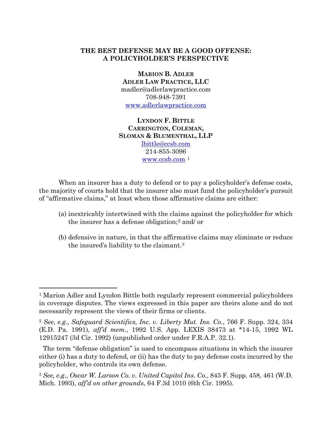# **THE BEST DEFENSE MAY BE A GOOD OFFENSE: A POLICYHOLDER'S PERSPECTIVE**

**MARION B. ADLER ADLER LAW PRACTICE, LLC** madler@adlerlawpractice.com 708-948-7391 [www.adlerlawpractice.com](http://www.adlerlawpractice.com/)

**LYNDON F. BITTLE CARRINGTON, COLEMAN, SLOMAN & BLUMENTHAL, LLP** [lbittle@ccsb.com](mailto:lbittle@ccsb.com) 214-855-3096 [www.ccsb.com](http://www.ccsb.com/) [1](#page-1-0)

When an insurer has a duty to defend or to pay a policyholder's defense costs, the majority of courts hold that the insurer also must fund the policyholder's pursuit of "affirmative claims," at least when those affirmative claims are either:

- (a) inextricably intertwined with the claims against the policyholder for which the insurer has a defense obligation;[2](#page-1-1) and/ or
- (b) defensive in nature, in that the affirmative claims may eliminate or reduce the insured's liability to the claimant.[3](#page-1-2)

<span id="page-1-0"></span><sup>1</sup> Marion Adler and Lyndon Bittle both regularly represent commercial policyholders in coverage disputes. The views expressed in this paper are theirs alone and do not necessarily represent the views of their firms or clients.

<span id="page-1-1"></span><sup>2</sup> *See, e.g., Safeguard Scientifics, Inc. v. Liberty Mut. Ins. Co.*, 766 F. Supp. 324, 334 (E.D. Pa. 1991), *aff'd mem.*, 1992 U.S. App. LEXIS 38473 at \*14-15, 1992 WL 12915247 (3d Cir. 1992) (unpublished order under F.R.A.P. 32.1).

The term "defense obligation" is used to encompass situations in which the insurer either (i) has a duty to defend, or (ii) has the duty to pay defense costs incurred by the policyholder, who controls its own defense.

<span id="page-1-2"></span><sup>3</sup> *See, e.g., Oscar W. Larson Co. v. United Capitol Ins. Co.*, 845 F. Supp. 458, 461 (W.D. Mich. 1993), *aff'd on other grounds*, 64 F.3d 1010 (6th Cir. 1995).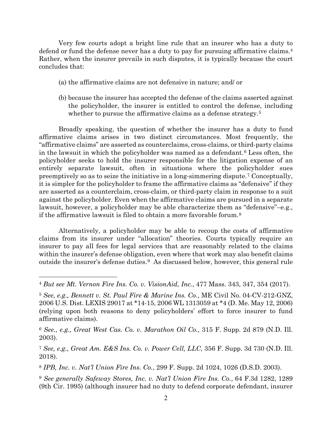Very few courts adopt a bright line rule that an insurer who has a duty to defend or fund the defense never has a duty to pay for pursuing affirmative claims.[4](#page-2-0) Rather, when the insurer prevails in such disputes, it is typically because the court concludes that:

- (a) the affirmative claims are not defensive in nature; and/ or
- (b) because the insurer has accepted the defense of the claims asserted against the policyholder, the insurer is entitled to control the defense, including whether to pursue the affirmative claims as a defense strategy.<sup>[5](#page-2-1)</sup>

Broadly speaking, the question of whether the insurer has a duty to fund affirmative claims arises in two distinct circumstances. Most frequently, the "affirmative claims" are asserted as counterclaims, cross-claims, or third-party claims in the lawsuit in which the policyholder was named as a defendant.[6](#page-2-2) Less often, the policyholder seeks to hold the insurer responsible for the litigation expense of an entirely separate lawsuit, often in situations where the policyholder sues preemptively so as to seize the initiative in a long-simmering dispute.[7](#page-2-3) Conceptually, it is simpler for the policyholder to frame the affirmative claims as "defensive" if they are asserted as a counterclaim, cross-claim, or third-party claim in response to a suit against the policyholder. Even when the affirmative claims are pursued in a separate lawsuit, however, a policyholder may be able characterize them as "defensive"–e.g., if the affirmative lawsuit is filed to obtain a more favorable forum.[8](#page-2-4)

Alternatively, a policyholder may be able to recoup the costs of affirmative claims from its insurer under "allocation" theories. Courts typically require an insurer to pay all fees for legal services that are reasonably related to the claims within the insurer's defense obligation, even where that work may also benefit claims outside the insurer's defense duties.[9](#page-2-5) As discussed below, however, this general rule

<span id="page-2-0"></span><sup>4</sup> *But see Mt. Vernon Fire Ins. Co. v. VisionAid, Inc.*, 477 Mass. 343, 347, 354 (2017).

<span id="page-2-1"></span><sup>5</sup> *See, e.g., Bennett v. St. Paul Fire & Marine Ins. Co.*, ME Civil No. 04-CV-212-GNZ, 2006 U.S. Dist. LEXIS 29017 at \*14-15, 2006 WL 1313059 at \*4 (D. Me. May 12, 2006) (relying upon both reasons to deny policyholders' effort to force insurer to fund affirmative claims).

<span id="page-2-2"></span><sup>6</sup> *See., e.g., Great West Cas. Co. v. Marathon Oil Co.*, 315 F. Supp. 2d 879 (N.D. Ill. 2003).

<span id="page-2-3"></span><sup>7</sup> *See, e.g., Great Am. E&S Ins. Co. v. Power Cell, LLC*, 356 F. Supp. 3d 730 (N.D. Ill. 2018).

<span id="page-2-4"></span><sup>8</sup> *IPB, Inc. v. Nat'l Union Fire Ins. Co.*, 299 F. Supp. 2d 1024, 1026 (D.S.D. 2003).

<span id="page-2-5"></span><sup>9</sup> *See generally Safeway Stores, Inc. v. Nat'l Union Fire Ins. Co.*, 64 F.3d 1282, 1289 (9th Cir. 1995) (although insurer had no duty to defend corporate defendant, insurer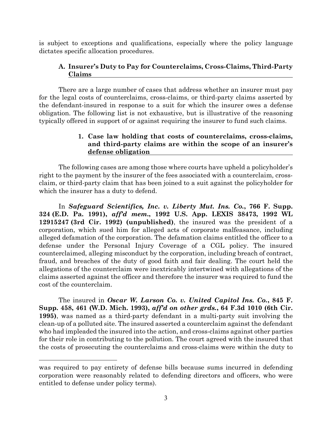is subject to exceptions and qualifications, especially where the policy language dictates specific allocation procedures.

# **A. Insurer's Duty to Pay for Counterclaims, Cross-Claims, Third-Party Claims**

There are a large number of cases that address whether an insurer must pay for the legal costs of counterclaims, cross-claims, or third-party claims asserted by the defendant-insured in response to a suit for which the insurer owes a defense obligation. The following list is not exhaustive, but is illustrative of the reasoning typically offered in support of or against requiring the insurer to fund such claims.

# **1. Case law holding that costs of counterclaims, cross-claims, and third-party claims are within the scope of an insurer's defense obligation**

The following cases are among those where courts have upheld a policyholder's right to the payment by the insurer of the fees associated with a counterclaim, crossclaim, or third-party claim that has been joined to a suit against the policyholder for which the insurer has a duty to defend.

In *Safeguard Scientifics, Inc. v. Liberty Mut. Ins. Co.***, 766 F. Supp. 324 (E.D. Pa. 1991),** *aff'd mem***., 1992 U.S. App. LEXIS 38473, 1992 WL 12915247 (3rd Cir. 1992) (unpublished)**, the insured was the president of a corporation, which sued him for alleged acts of corporate malfeasance, including alleged defamation of the corporation. The defamation claims entitled the officer to a defense under the Personal Injury Coverage of a CGL policy. The insured counterclaimed, alleging misconduct by the corporation, including breach of contract, fraud, and breaches of the duty of good faith and fair dealing. The court held the allegations of the counterclaim were inextricably intertwined with allegations of the claims asserted against the officer and therefore the insurer was required to fund the cost of the counterclaim.

The insured in *Oscar W. Larson Co. v. United Capitol Ins. Co.***, 845 F. Supp. 458, 461 (W.D. Mich. 1993),** *aff'd on other grds.***, 64 F.3d 1010 (6th Cir. 1995)**, was named as a third-party defendant in a multi-party suit involving the clean-up of a polluted site. The insured asserted a counterclaim against the defendant who had impleaded the insured into the action, and cross-claims against other parties for their role in contributing to the pollution. The court agreed with the insured that the costs of prosecuting the counterclaims and cross-claims were within the duty to

was required to pay entirety of defense bills because sums incurred in defending corporation were reasonably related to defending directors and officers, who were entitled to defense under policy terms).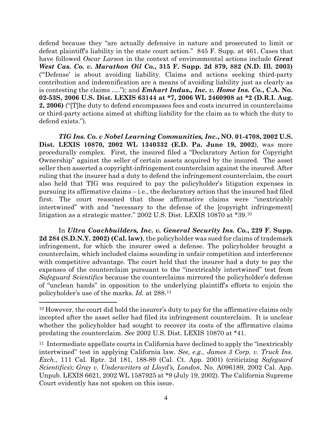defend because they "are actually defensive in nature and prosecuted to limit or defeat plaintiff's liability in the state court action." 845 F. Supp. at 461. Cases that have followed *Oscar Larson* in the context of environmental actions include *Great West Cas. Co. v. Marathon Oil Co.***, 315 F. Supp. 2d 879, 882 (N.D. Ill. 2003)**  ("'Defense' is about avoiding liability. Claims and actions seeking third-party contribution and indemnification are a means of avoiding liability just as clearly as is contesting the claims …."); and *Emhart Indus., Inc. v. Home Ins. Co.***, C.A. No. 02-53S, 2006 U.S. Dist. LEXIS 63144 at \*7, 2006 WL 2460908 at \*2 (D.R.I. Aug. 2, 2006)** ("[T]he duty to defend encompasses fees and costs incurred in counterclaims or third-party actions aimed at shifting liability for the claim as to which the duty to defend exists.").

*TIG Ins. Co. v Nobel Learning Communities, Inc.***, NO. 01-4708, 2002 U.S. Dist. LEXIS 10870, 2002 WL 1340332 (E.D. Pa. June 19, 2002**), was more procedurally complex. First, the insured filed a "Declaratory Action for Copyright Ownership" against the seller of certain assets acquired by the insured. The asset seller then asserted a copyright-infringement counterclaim against the insured. After ruling that the insurer had a duty to defend the infringement counterclaim, the court also held that TIG was required to pay the policyholder's litigation expenses in pursuing its affirmative claims – i.e., the declaratory action that the insured had filed first. The court reasoned that those affirmative claims were "inextricably intertwined" with and "necessary to the defense of the [copyright infringement] litigation as a strategic matter." 2002 U.S. Dist. LEXIS 10870 at \*39.[10](#page-4-0)

In *Ultra Coachbuilders, Inc. v. General Security Ins. Co.***, 229 F. Supp. 2d 284 (S.D.N.Y. 2002) (Cal. law)**, the policyholder was sued for claims of trademark infringement, for which the insurer owed a defense. The policyholder brought a counterclaim, which included claims sounding in unfair competition and interference with competitive advantage. The court held that the insurer had a duty to pay the expenses of the counterclaim pursuant to the "inextricably intertwined" test from *Safeguard Scientifics* because the counterclaims mirrored the policyholder's defense of "unclean hands" in opposition to the underlying plaintiff's efforts to enjoin the policyholder's use of the marks. *Id.* at 288.[11](#page-4-1)

<span id="page-4-0"></span><sup>&</sup>lt;sup>10</sup> However, the court did hold the insurer's duty to pay for the affirmative claims only incepted after the asset seller had filed its infringement counterclaim. It is unclear whether the policyholder had sought to recover its costs of the affirmative claims predating the counterclaim. *See* 2002 U.S. Dist. LEXIS 10870 at \*41.

<span id="page-4-1"></span><sup>&</sup>lt;sup>11</sup> Intermediate appellate courts in California have declined to apply the "inextricably" intertwined" test in applying California law. *See, e.g., James 3 Corp. v. Truck Ins. Exch.,* 111 Cal. Rptr. 2d 181, 188-89 (Cal. Ct. App. 2001) (criticizing *Safeguard Scientifics*); *Gray v. Underwriters at Lloyd's, London*, No. A096189, 2002 Cal. App. Unpub. LEXIS 6621, 2002 WL 1587925 at \*9 (July 19, 2002). The California Supreme Court evidently has not spoken on this issue.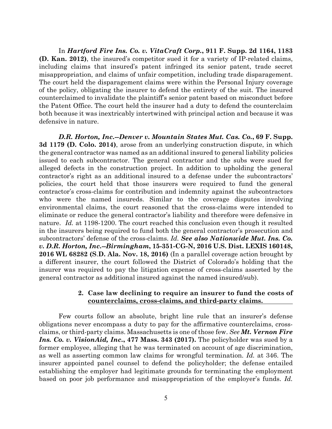In *Hartford Fire Ins. Co. v. VitaCraft Corp.***, 911 F. Supp. 2d 1164, 1183 (D. Kan. 2012)**, the insured's competitor sued it for a variety of IP-related claims, including claims that insured's patent infringed its senior patent, trade secret misappropriation, and claims of unfair competition, including trade disparagement. The court held the disparagement claims were within the Personal Injury coverage of the policy, obligating the insurer to defend the entirety of the suit. The insured counterclaimed to invalidate the plaintiff's senior patent based on misconduct before the Patent Office. The court held the insurer had a duty to defend the counterclaim both because it was inextricably intertwined with principal action and because it was defensive in nature.

*D.R. Horton, Inc.--Denver v. Mountain States Mut. Cas. Co.***, 69 F. Supp. 3d 1179 (D. Colo. 2014)**, arose from an underlying construction dispute, in which the general contractor was named as an additional insured to general liability policies issued to each subcontractor. The general contractor and the subs were sued for alleged defects in the construction project. In addition to upholding the general contractor's right as an additional insured to a defense under the subcontractors' policies, the court held that those insurers were required to fund the general contractor's cross-claims for contribution and indemnity against the subcontractors who were the named insureds. Similar to the coverage disputes involving environmental claims, the court reasoned that the cross-claims were intended to eliminate or reduce the general contractor's liability and therefore were defensive in nature. *Id.* at 1198-1200. The court reached this conclusion even though it resulted in the insurers being required to fund both the general contractor's prosecution and subcontractors' defense of the cross-claims. *Id. See also Nationwide Mut. Ins. Co. v. D.R. Horton, Inc.--Birmingham***, 15-351-CG-N, 2016 U.S. Dist. LEXIS 160148, 2016 WL 68282 (S**.**D. Ala. Nov. 18, 2016)** (In a parallel coverage action brought by a different insurer, the court followed the District of Colorado's holding that the insurer was required to pay the litigation expense of cross-claims asserted by the general contractor as additional insured against the named insured/sub).

#### **2. Case law declining to require an insurer to fund the costs of counterclaims, cross-claims, and third-party claims.**

Few courts follow an absolute, bright line rule that an insurer's defense obligations never encompass a duty to pay for the affirmative counterclaims, crossclaims, or third-party claims. Massachusetts is one of those few. *See Mt. Vernon Fire Ins. Co. v. VisionAid, Inc.***, 477 Mass. 343 (2017).** The policyholder was sued by a former employee, alleging that he was terminated on account of age discrimination, as well as asserting common law claims for wrongful termination. *Id.* at 346. The insurer appointed panel counsel to defend the policyholder; the defense entailed establishing the employer had legitimate grounds for terminating the employment based on poor job performance and misappropriation of the employer's funds. *Id.*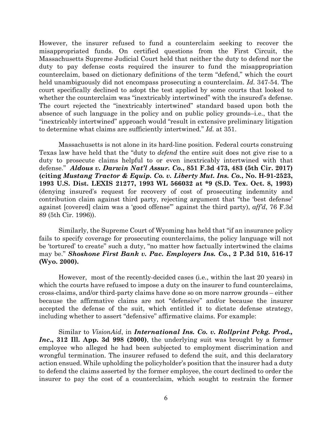However, the insurer refused to fund a counterclaim seeking to recover the misappropriated funds. On certified questions from the First Circuit, the Massachusetts Supreme Judicial Court held that neither the duty to defend nor the duty to pay defense costs required the insurer to fund the misappropriation counterclaim, based on dictionary definitions of the term "defend," which the court held unambiguously did not encompass prosecuting a counterclaim. *Id.* 347-54. The court specifically declined to adopt the test applied by some courts that looked to whether the counterclaim was "inextricably intertwined" with the insured's defense. The court rejected the "inextricably intertwined" standard based upon both the absence of such language in the policy and on public policy grounds–i.e., that the "inextricably intertwined" approach would "result in extensive preliminary litigation to determine what claims are sufficiently intertwined." *Id.* at 351.

Massachusetts is not alone in its hard-line position. Federal courts construing Texas law have held that the "duty to *defend* the entire suit does not give rise to a duty to prosecute claims helpful to or even inextricably intertwined with that defense." *Aldous v. Darwin Nat'l Assur. Co.***, 851 F.3d 473, 483 (5th Cir. 2017) (citing** *Mustang Tractor & Equip. Co. v. Liberty Mut. Ins. Co.***, No. H-91-2523, 1993 U.S. Dist. LEXIS 21277, 1993 WL 566032 at \*9 (S.D. Tex. Oct. 8, 1993)** (denying insured's request for recovery of cost of prosecuting indemnity and contribution claim against third party, rejecting argument that "the 'best defense' against [covered] claim was a 'good offense'" against the third party), *aff'd*, 76 F.3d 89 (5th Cir. 1996)).

Similarly, the Supreme Court of Wyoming has held that "if an insurance policy fails to specify coverage for prosecuting counterclaims, the policy language will not be 'tortured' to create" such a duty, "no matter how factually intertwined the claims may be." *Shoshone First Bank v. Pac. Employers Ins. Co.***, 2 P.3d 510, 516-17 (Wyo. 2000).**

However, most of the recently-decided cases (i.e., within the last 20 years) in which the courts have refused to impose a duty on the insurer to fund counterclaims, cross-claims, and/or third-party claims have done so on more narrow grounds – either because the affirmative claims are not "defensive" and/or because the insurer accepted the defense of the suit, which entitled it to dictate defense strategy, including whether to assert "defensive" affirmative claims. For example:

Similar to *VisionAid*, in *International Ins. Co. v. Rollprint Pckg. Prod., Inc***., 312 Ill. App. 3d 998 (2000)**, the underlying suit was brought by a former employee who alleged he had been subjected to employment discrimination and wrongful termination. The insurer refused to defend the suit, and this declaratory action ensued. While upholding the policyholder's position that the insurer had a duty to defend the claims asserted by the former employee, the court declined to order the insurer to pay the cost of a counterclaim, which sought to restrain the former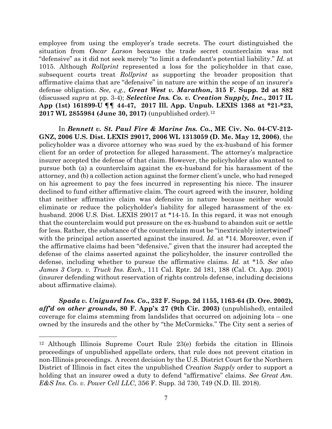employee from using the employer's trade secrets. The court distinguished the situation from *Oscar Larson* because the trade secret counterclaim was not "defensive" as it did not seek merely "to limit a defendant's potential liability." *Id.* at 1015. Although *Rollprint* represented a loss for the policyholder in that case, subsequent courts treat *Rollprint* as supporting the broader proposition that affirmative claims that are "defensive" in nature are within the scope of an insurer's defense obligation. *See, e.g., Great West v. Marathon***, 315 F. Supp. 2d at 882** (discussed *supra* at pp. 3-4); *Selective Ins. Co. v. Creation Supply, Inc.***, 2017 IL App (1st) 161899-U ¶¶ 44-47, 2017 Ill. App. Unpub. LEXIS 1368 at \*21-\*23, 2017 WL 2855984 (June 30, 2017)** (unpublished order).[12](#page-7-0)

In *Bennett v. St. Paul Fire & Marine Ins. Co.***, ME Civ. No. 04-CV-212- GNZ, 2006 U.S. Dist. LEXIS 29017, 2006 WL 1313059 (D. Me. May 12, 2006)**, the policyholder was a divorce attorney who was sued by the ex-husband of his former client for an order of protection for alleged harassment. The attorney's malpractice insurer accepted the defense of that claim. However, the policyholder also wanted to pursue both (a) a counterclaim against the ex-husband for his harassment of the attorney, and (b) a collection action against the former client's uncle, who had reneged on his agreement to pay the fees incurred in representing his niece. The insurer declined to fund either affirmative claim. The court agreed with the insurer, holding that neither affirmative claim was defensive in nature because neither would eliminate or reduce the policyholder's liability for alleged harassment of the exhusband. 2006 U.S. Dist. LEXIS 29017 at \*14-15. In this regard, it was not enough that the counterclaim would put pressure on the ex-husband to abandon suit or settle for less. Rather, the substance of the counterclaim must be "inextricably intertwined" with the principal action asserted against the insured. *Id.* at \*14. Moreover, even if the affirmative claims had been "defensive," given that the insurer had accepted the defense of the claims asserted against the policyholder, the insurer controlled the defense, including whether to pursue the affirmative claims. *Id.* at \*15. *See also James 3 Corp. v. Truck Ins. Exch.,* 111 Cal. Rptr. 2d 181, 188 (Cal. Ct. App. 2001) (insurer defending without reservation of rights controls defense, including decisions about affirmative claims).

*Spada v. Uniguard Ins. Co***., 232 F. Supp. 2d 1155, 1163-64 (D. Ore. 2002),**  *aff'd on other grounds***, 80 F. App'x 27 (9th Cir. 2003)** (unpublished), entailed coverage for claims stemming from landslides that occurred on adjoining lots – one owned by the insureds and the other by "the McCormicks." The City sent a series of

<span id="page-7-0"></span><sup>12</sup> Although Illinois Supreme Court Rule 23(e) forbids the citation in Illinois proceedings of unpublished appellate orders, that rule does not prevent citation in non-Illinois proceedings. A recent decision by the U.S. District Court for the Northern District of Illinois in fact cites the unpublished *Creation Supply* order to support a holding that an insurer owed a duty to defend "affirmative" claims. *See Great Am. E&S Ins. Co. v. Power Cell LLC*, 356 F. Supp. 3d 730, 749 (N.D. Ill. 2018).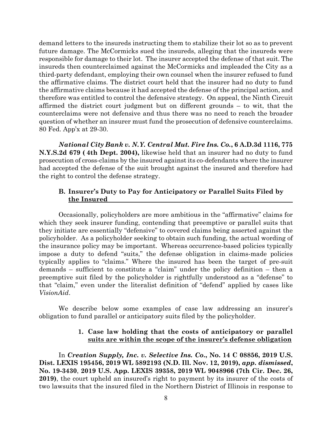demand letters to the insureds instructing them to stabilize their lot so as to prevent future damage. The McCormicks sued the insureds, alleging that the insureds were responsible for damage to their lot. The insurer accepted the defense of that suit. The insureds then counterclaimed against the McCormicks and impleaded the City as a third-party defendant, employing their own counsel when the insurer refused to fund the affirmative claims. The district court held that the insurer had no duty to fund the affirmative claims because it had accepted the defense of the principal action, and therefore was entitled to control the defensive strategy. On appeal, the Ninth Circuit affirmed the district court judgment but on different grounds – to wit, that the counterclaims were not defensive and thus there was no need to reach the broader question of whether an insurer must fund the prosecution of defensive counterclaims. 80 Fed. App'x at 29-30.

*National City Bank v. N.Y. Central Mut. Fire Ins. Co.***, 6 A.D.3d 1116, 775 N.Y.S.2d 679 ( 4th Dept. 2004),** likewise held that an insurer had no duty to fund prosecution of cross-claims by the insured against its co-defendants where the insurer had accepted the defense of the suit brought against the insured and therefore had the right to control the defense strategy.

## **B. Insurer's Duty to Pay for Anticipatory or Parallel Suits Filed by the Insured**

Occasionally, policyholders are more ambitious in the "affirmative" claims for which they seek insurer funding, contending that preemptive or parallel suits that they initiate are essentially "defensive" to covered claims being asserted against the policyholder. As a policyholder seeking to obtain such funding, the actual wording of the insurance policy may be important. Whereas occurrence-based policies typically impose a duty to defend "suits," the defense obligation in claims-made policies typically applies to "claims." Where the insured has been the target of pre-suit demands – sufficient to constitute a "claim" under the policy definition – then a preemptive suit filed by the policyholder is rightfully understood as a "defense" to that "claim," even under the literalist definition of "defend" applied by cases like *VisionAid*.

We describe below some examples of case law addressing an insurer's obligation to fund parallel or anticipatory suits filed by the policyholder.

## **1. Case law holding that the costs of anticipatory or parallel suits are within the scope of the insurer's defense obligation**

In *Creation Supply, Inc. v. Selective Ins. Co***., No. 14 C 08856, 2019 U.S. Dist. LEXIS 195456, 2019 WL 5892193 (N.D. Ill. Nov. 12, 2019),** *app. dismissed***, No. 19-3430**, **2019 U.S. App. LEXIS 39358, 2019 WL 9048966 (7th Cir. Dec. 26, 2019)**, the court upheld an insured's right to payment by its insurer of the costs of two lawsuits that the insured filed in the Northern District of Illinois in response to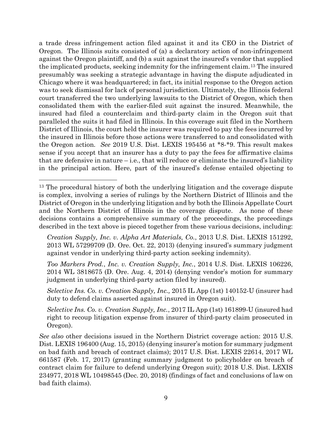a trade dress infringement action filed against it and its CEO in the District of Oregon. The Illinois suits consisted of (a) a declaratory action of non-infringement against the Oregon plaintiff, and (b) a suit against the insured's vendor that supplied the implicated products, seeking indemnity for the infringement claim.[13](#page-9-0) The insured presumably was seeking a strategic advantage in having the dispute adjudicated in Chicago where it was headquartered; in fact, its initial response to the Oregon action was to seek dismissal for lack of personal jurisdiction. Ultimately, the Illinois federal court transferred the two underlying lawsuits to the District of Oregon, which then consolidated them with the earlier-filed suit against the insured. Meanwhile, the insured had filed a counterclaim and third-party claim in the Oregon suit that paralleled the suits it had filed in Illinois. In this coverage suit filed in the Northern District of Illinois, the court held the insurer was required to pay the fees incurred by the insured in Illinois before those actions were transferred to and consolidated with the Oregon action. *See* 2019 U.S. Dist. LEXIS 195456 at \*8-\*9. This result makes sense if you accept that an insurer has a duty to pay the fees for affirmative claims that are defensive in nature  $-i.e.,$  that will reduce or eliminate the insured's liability in the principal action. Here, part of the insured's defense entailed objecting to

*Creation Supply, Inc. v. Alpha Art Materials, Co.*, 2013 U.S. Dist. LEXIS 151292, 2013 WL 57299709 (D. Ore. Oct. 22, 2013) (denying insured's summary judgment against vendor in underlying third-party action seeking indemnity).

*Too Markers Prod.*, *Inc. v. Creation Supply, Inc.*, 2014 U.S. Dist. LEXIS 106226, 2014 WL 3818675 (D. Ore. Aug. 4, 2014) (denying vendor's motion for summary judgment in underlying third-party action filed by insured).

*[Selective Ins.](https://advance.lexis.com/api/document?collection=cases&id=urn:contentItem:5F88-XPM1-DY0T-F008-00000-00&context=) Co. v. Creation Supply, Inc.,* 2015 IL App (1st) 140152-U (insurer had duty to defend claims asserted against insured in Oregon suit).

*Selective Ins. Co. v. Creation Supply, Inc.*, 2017 IL App (1st) 161899-U (insured had right to recoup litigation expense from insurer of third-party claim prosecuted in Oregon).

*See also* other decisions issued in the Northern District coverage action: 2015 U.S. Dist. LEXIS 196400 (Aug. 15, 2015) (denying insurer's motion for summary judgment on bad faith and breach of contract claims); 2017 U.S. Dist. LEXIS 22614, 2017 WL 661587 (Feb. 17, 2017) (granting summary judgment to policyholder on breach of contract claim for failure to defend underlying Oregon suit); 2018 U.S. Dist. LEXIS 234977, 2018 WL 10498545 (Dec. 20, 2018) (findings of fact and conclusions of law on bad faith claims).

<span id="page-9-0"></span><sup>&</sup>lt;sup>13</sup> The procedural history of both the underlying litigation and the coverage dispute is complex, involving a series of rulings by the Northern District of Illinois and the District of Oregon in the underlying litigation and by both the Illinois Appellate Court and the Northern District of Illinois in the coverage dispute. As none of these decisions contains a comprehensive summary of the proceedings, the proceedings described in the text above is pieced together from these various decisions, including: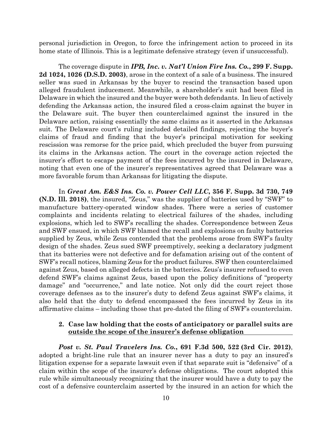personal jurisdiction in Oregon, to force the infringement action to proceed in its home state of Illinois. This is a legitimate defensive strategy (even if unsuccessful).

The coverage dispute in *IPB, Inc. v. Nat'l Union Fire Ins. Co.***, 299 F. Supp. 2d 1024, 1026 (D.S.D. 2003)**, arose in the context of a sale of a business. The insured seller was sued in Arkansas by the buyer to rescind the transaction based upon alleged fraudulent inducement. Meanwhile, a shareholder's suit had been filed in Delaware in which the insured and the buyer were both defendants. In lieu of actively defending the Arkansas action, the insured filed a cross-claim against the buyer in the Delaware suit. The buyer then counterclaimed against the insured in the Delaware action, raising essentially the same claims as it asserted in the Arkansas suit. The Delaware court's ruling included detailed findings, rejecting the buyer's claims of fraud and finding that the buyer's principal motivation for seeking rescission was remorse for the price paid, which precluded the buyer from pursuing its claims in the Arkansas action. The court in the coverage action rejected the insurer's effort to escape payment of the fees incurred by the insured in Delaware, noting that even one of the insurer's representatives agreed that Delaware was a more favorable forum than Arkansas for litigating the dispute.

In *Great Am. E&S Ins. Co. v. Power Cell LLC***, 356 F. Supp. 3d 730, 749 (N.D. Ill. 2018)**, the insured, "Zeus," was the supplier of batteries used by "SWF" to manufacture battery-operated window shades. There were a series of customer complaints and incidents relating to electrical failures of the shades, including explosions, which led to SWF's recalling the shades. Correspondence between Zeus and SWF ensued, in which SWF blamed the recall and explosions on faulty batteries supplied by Zeus, while Zeus contended that the problems arose from SWF's faulty design of the shades. Zeus sued SWF preemptively, seeking a declaratory judgment that its batteries were not defective and for defamation arising out of the content of SWF's recall notices, blaming Zeus for the product failures. SWF then counterclaimed against Zeus, based on alleged defects in the batteries. Zeus's insurer refused to even defend SWF's claims against Zeus, based upon the policy definitions of "property damage" and "occurrence," and late notice. Not only did the court reject those coverage defenses as to the insurer's duty to defend Zeus against SWF's claims, it also held that the duty to defend encompassed the fees incurred by Zeus in its affirmative claims – including those that pre-dated the filing of SWF's counterclaim.

#### **2. Case law holding that the costs of anticipatory or parallel suits are outside the scope of the insurer's defense obligation**

*Post v. St. Paul Travelers Ins. Co.***, 691 F.3d 500, 522 (3rd Cir. 2012)**, adopted a bright-line rule that an insurer never has a duty to pay an insured's litigation expense for a separate lawsuit even if that separate suit is "defensive" of a claim within the scope of the insurer's defense obligations. The court adopted this rule while simultaneously recognizing that the insurer would have a duty to pay the cost of a defensive counterclaim asserted by the insured in an action for which the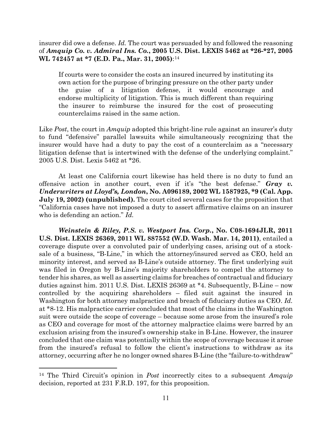insurer did owe a defense. *Id.* The court was persuaded by and followed the reasoning of *Amquip Co. v. Admiral Ins. Co.***, 2005 U.S. Dist. LEXIS 5462 at \*26-\*27, 2005 WL 742457 at \*7 (E.D. Pa., Mar. 31, 2005)**:[14](#page-11-0)

If courts were to consider the costs an insured incurred by instituting its own action for the purpose of bringing pressure on the other party under the guise of a litigation defense, it would encourage and endorse multiplicity of litigation. This is much different than requiring the insurer to reimburse the insured for the cost of prosecuting counterclaims raised in the same action.

Like *Post*, the court in *Amquip* adopted this bright-line rule against an insurer's duty to fund "defensive" parallel lawsuits while simultaneously recognizing that the insurer would have had a duty to pay the cost of a counterclaim as a "necessary litigation defense that is intertwined with the defense of the underlying complaint." 2005 U.S. Dist. Lexis 5462 at \*26.

At least one California court likewise has held there is no duty to fund an offensive action in another court, even if it's "the best defense." *Gray v. Underwriters at Lloyd's, London***, No. A096189, 2002 WL 1587925, \*9 (Cal. App. July 19, 2002) (unpublished).** The court cited several cases for the proposition that "California cases have not imposed a duty to assert affirmative claims on an insurer who is defending an action." *Id.*

*Weinstein & Riley, P.S. v. Westport Ins. Corp.***, No. C08-1694JLR, 2011 U.S. Dist. LEXIS 26369, 2011 WL 887552 (W.D. Wash. Mar. 14, 2011)**, entailed a coverage dispute over a convoluted pair of underlying cases, arising out of a stocksale of a business, "B-Line," in which the attorney/insured served as CEO, held an minority interest, and served as B-Line's outside attorney. The first underlying suit was filed in Oregon by B-Line's majority shareholders to compel the attorney to tender his shares, as well as asserting claims for breaches of contractual and fiduciary duties against him. 2011 U.S. Dist. LEXIS 26369 at \*4. Subsequently, B-Line – now controlled by the acquiring shareholders – filed suit against the insured in Washington for both attorney malpractice and breach of fiduciary duties as CEO. *Id.* at \*8-12. His malpractice carrier concluded that most of the claims in the Washington suit were outside the scope of coverage – because some arose from the insured's role as CEO and coverage for most of the attorney malpractice claims were barred by an exclusion arising from the insured's ownership stake in B-Line. However, the insurer concluded that one claim was potentially within the scope of coverage because it arose from the insured's refusal to follow the client's instructions to withdraw as its attorney, occurring after he no longer owned shares B-Line (the "failure-to-withdraw"

<span id="page-11-0"></span><sup>14</sup> The Third Circuit's opinion in *Post* incorrectly cites to a subsequent *Amquip* decision, reported at 231 F.R.D. 197, for this proposition.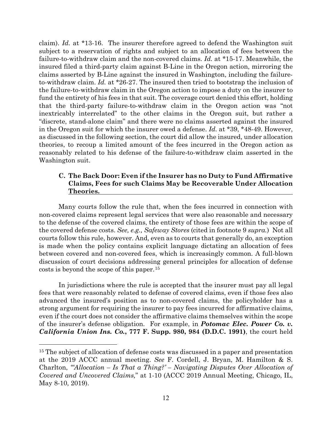claim). *Id.* at \*13-16. The insurer therefore agreed to defend the Washington suit subject to a reservation of rights and subject to an allocation of fees between the failure-to-withdraw claim and the non-covered claims. *Id.* at \*15-17. Meanwhile, the insured filed a third-party claim against B-Line in the Oregon action, mirroring the claims asserted by B-Line against the insured in Washington, including the failureto-withdraw claim. *Id.* at \*26-27. The insured then tried to bootstrap the inclusion of the failure-to-withdraw claim in the Oregon action to impose a duty on the insurer to fund the entirety of his fees in that suit. The coverage court denied this effort, holding that the third-party failure-to-withdraw claim in the Oregon action was "not inextricably interrelated" to the other claims in the Oregon suit, but rather a "discrete, stand-alone claim" and there were no claims asserted against the insured in the Oregon suit for which the insurer owed a defense. *Id.* at \*39, \*48-49. However, as discussed in the following section, the court did allow the insured, under allocation theories, to recoup a limited amount of the fees incurred in the Oregon action as reasonably related to his defense of the failure-to-withdraw claim asserted in the Washington suit.

## **C. The Back Door: Even if the Insurer has no Duty to Fund Affirmative Claims, Fees for such Claims May be Recoverable Under Allocation Theories.**

Many courts follow the rule that, when the fees incurred in connection with non-covered claims represent legal services that were also reasonable and necessary to the defense of the covered claims, the entirety of those fees are within the scope of the covered defense costs. *See, e.g., Safeway Stores* (cited in footnote 9 *supra.*) Not all courts follow this rule, however. And, even as to courts that generally do, an exception is made when the policy contains explicit language dictating an allocation of fees between covered and non-covered fees, which is increasingly common. A full-blown discussion of court decisions addressing general principles for allocation of defense costs is beyond the scope of this paper.[15](#page-12-0)

In jurisdictions where the rule is accepted that the insurer must pay all legal fees that were reasonably related to defense of covered claims, even if those fees also advanced the insured's position as to non-covered claims, the policyholder has a strong argument for requiring the insurer to pay fees incurred for affirmative claims, even if the court does not consider the affirmative claims themselves within the scope of the insurer's defense obligation. For example, in *Potomac Elec. Power Co. v. California Union Ins. Co.***, 777 F. Supp. 980, 984 (D.D.C. 1991)**, the court held

<span id="page-12-0"></span><sup>&</sup>lt;sup>15</sup> The subject of allocation of defense costs was discussed in a paper and presentation at the 2019 ACCC annual meeting. *See* F. Cordell, J. Bryan, M. Hamilton & S. Charlton, *"'Allocation – Is That a Thing?' – Navigating Disputes Over Allocation of Covered and Uncovered Claims,*" at 1-10 (ACCC 2019 Annual Meeting, Chicago, IL, May 8-10, 2019).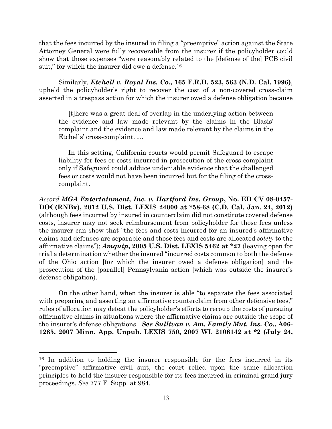that the fees incurred by the insured in filing a "preemptive" action against the State Attorney General were fully recoverable from the insurer if the policyholder could show that those expenses "were reasonably related to the [defense of the] PCB civil suit," for which the insurer did owe a defense.<sup>[16](#page-13-0)</sup>

Similarly, *Etchell v. Royal Ins. Co.***, 165 F.R.D. 523, 563 (N.D. Cal. 1996)**, upheld the policyholder's right to recover the cost of a non-covered cross-claim asserted in a trespass action for which the insurer owed a defense obligation because

[t]here was a great deal of overlap in the underlying action between the evidence and law made relevant by the claims in the Blasis' complaint and the evidence and law made relevant by the claims in the Etchells' cross-complaint. …

In this setting, California courts would permit Safeguard to escape liability for fees or costs incurred in prosecution of the cross-complaint only if Safeguard could adduce undeniable evidence that the challenged fees or costs would not have been incurred but for the filing of the crosscomplaint.

*Accord MGA Entertainment, Inc. v. Hartford Ins. Group***, No. ED CV 08-0457- DOC(RNBx), 2012 U.S. Dist. LEXIS 24000 at \*58-68 (C.D. Cal. Jan. 24, 2012)** (although fees incurred by insured in counterclaim did not constitute covered defense costs, insurer may not seek reimbursement from policyholder for those fees unless the insurer can show that "the fees and costs incurred for an insured's affirmative claims and defenses are separable and those fees and costs are allocated *solely* to the affirmative claims"); *Amquip***, 2005 U.S. Dist. LEXIS 5462 at \*27** (leaving open for trial a determination whether the insured "incurred costs common to both the defense of the Ohio action [for which the insurer owed a defense obligation] and the prosecution of the [parallel] Pennsylvania action [which was outside the insurer's defense obligation).

On the other hand, when the insurer is able "to separate the fees associated with preparing and asserting an affirmative counterclaim from other defensive fees," rules of allocation may defeat the policyholder's efforts to recoup the costs of pursuing affirmative claims in situations where the affirmative claims are outside the scope of the insurer's defense obligations. *See Sullivan v. Am. Family Mut. Ins. Co***., A06- 1285, 2007 Minn. App. Unpub. LEXIS 750, 2007 WL 2106142 at \*2 (July 24,** 

<span id="page-13-0"></span><sup>16</sup> In addition to holding the insurer responsible for the fees incurred in its "preemptive" affirmative civil suit, the court relied upon the same allocation principles to hold the insurer responsible for its fees incurred in criminal grand jury proceedings. *See* 777 F. Supp. at 984.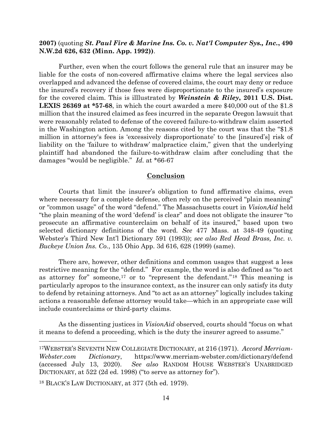## **2007)** (quoting *St. Paul Fire & Marine Ins. Co. v. Nat'l Computer Sys., Inc.***, 490 N.W.2d 626, 632 (Minn. App. 1992))**.

Further, even when the court follows the general rule that an insurer may be liable for the costs of non-covered affirmative claims where the legal services also overlapped and advanced the defense of covered claims, the court may deny or reduce the insured's recovery if those fees were disproportionate to the insured's exposure for the covered claim. This is illlustrated by *Weinstein & Riley***, 2011 U.S. Dist. LEXIS 26369 at \*57-68**, in which the court awarded a mere \$40,000 out of the \$1.8 million that the insured claimed as fees incurred in the separate Oregon lawsuit that were reasonably related to defense of the covered failure-to-withdraw claim asserted in the Washington action. Among the reasons cited by the court was that the "\$1.8 million in attorney's fees is 'excessively disproportionate' to the [insured's] risk of liability on the 'failure to withdraw' malpractice claim," given that the underlying plaintiff had abandoned the failure-to-withdraw claim after concluding that the damages "would be negligible." *Id.* at \*66-67

#### **Conclusion**

Courts that limit the insurer's obligation to fund affirmative claims, even where necessary for a complete defense, often rely on the perceived "plain meaning" or "common usage" of the word "defend." The Massachusetts court in *VisionAid* held "the plain meaning of the word 'defend' is clear" and does not obligate the insurer "to prosecute an affirmative counterclaim on behalf of its insured," based upon two selected dictionary definitions of the word. *See* 477 Mass. at 348-49 (quoting Webster's Third New Int'l Dictionary 591 (1993)); *see also Red Head Brass, Inc. v. Buckeye Union Ins. Co.*, 135 Ohio App. 3d 616, 628 (1999) (same).

There are, however, other definitions and common usages that suggest a less restrictive meaning for the "defend." For example, the word is also defined as "to act as attorney for" someone,<sup>[17](#page-14-0)</sup> or to "represent the defendant."<sup>[18](#page-14-1)</sup> This meaning is particularly apropos to the insurance context, as the insurer can only satisfy its duty to defend by retaining attorneys. And "to act as an attorney" logically includes taking actions a reasonable defense attorney would take—which in an appropriate case will include counterclaims or third-party claims.

As the dissenting justices in *VisionAid* observed, courts should "focus on what it means to defend a proceeding, which is the duty the insurer agreed to assume."

<span id="page-14-0"></span><sup>17</sup>WEBSTER'S SEVENTH NEW COLLEGIATE DICTIONARY, at 216 (1971). *Accord Merriam-Webster.com Dictionary*, https://www.merriam-webster.com/dictionary/defend (accessed July 13, 2020). *See also* RANDOM HOUSE WEBSTER'S UNABRIDGED DICTIONARY, at 522 (2d ed. 1998) ("to serve as attorney for").

<span id="page-14-1"></span><sup>18</sup> BLACK'S LAW DICTIONARY, at 377 (5th ed. 1979).